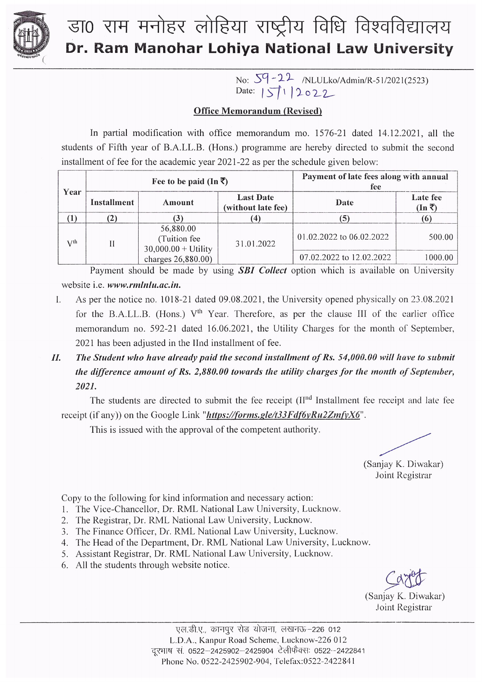

## डा0 राम मनोहर लोहिया राष्ट्रीय विधि विश्वविद्यालय Dr. Ram Manohar Lohiya National Law University

No: 59-22 /NLULko/Admin/R-51/2021(2523)<br>Date: 511 2022

### **Office Memorandum (Revised)**

In partial modification with office memorandum mo. 1576-21 dated 14.12.2021, all the students of Fifth year of B.A.LL.B. (Hons.) programme are hereby directed to submit the second installment of fee for the academic year 2021-22 as per the schedule given below:

| Year     | Fee to be paid (In $\bar{x}$ ) |                                                     |                                        | Payment of late fees along with annual<br>fee |                            |
|----------|--------------------------------|-----------------------------------------------------|----------------------------------------|-----------------------------------------------|----------------------------|
|          | Installment                    | Amount                                              | <b>Last Date</b><br>(without late fee) | Date                                          | Late fee<br>$(In \bar{Z})$ |
|          |                                |                                                     |                                        |                                               |                            |
| $V^{th}$ |                                | 56,880.00<br>(Tuition fee)<br>$30,000.00 + Utility$ | 31.01.2022                             | 01.02.2022 to 06.02.2022                      | 500.00                     |
|          |                                | charges 26,880.00)                                  |                                        | 07.02.2022 to 12.02.2022                      | 1000.00                    |

Payment should be made by using **SBI Collect** option which is available on University website i.e. www.rmlnlu.ac.in.

- As per the notice no. 1018-21 dated 09.08.2021, the University opened physically on 23.08.2021  $\mathbf{I}$ for the B.A.LL.B. (Hons.) V<sup>th</sup> Year. Therefore, as per the clause III of the earlier office memorandum no. 592-21 dated 16.06.2021, the Utility Charges for the month of September, 2021 has been adjusted in the IInd installment of fee.
- $II.$ The Student who have already paid the second installment of Rs. 54,000.00 will have to submit the difference amount of Rs. 2,880.00 towards the utility charges for the month of September, 2021.

The students are directed to submit the fee receipt (II<sup>nd</sup> Installment fee receipt and late fee receipt (if any)) on the Google Link "https://forms.gle/t33Fdf6yRu2ZmfyX6".

This is issued with the approval of the competent authority.

(Sanjay K. Diwakar) Joint Registrar

Copy to the following for kind information and necessary action:

- 1. The Vice-Chancellor, Dr. RML National Law University, Lucknow.
- 2. The Registrar, Dr. RML National Law University, Lucknow.
- 3. The Finance Officer, Dr. RML National Law University, Lucknow.
- 4. The Head of the Department, Dr. RML National Law University, Lucknow.
- 5. Assistant Registrar, Dr. RML National Law University, Lucknow.
- 6. All the students through website notice.

(Sanjay K. Diwakar) Joint Registrar